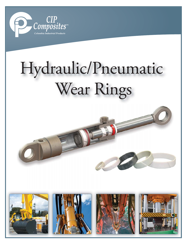

# Hydraulic/Pneumatic Wear Rings



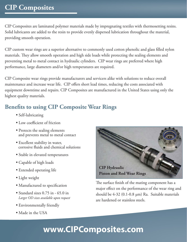# **CIP Composites**

CIP Composites are laminated polymer materials made by impregnating textiles with thermosetting resins. Solid lubricants are added to the resin to provide evenly dispersed lubrication throughout the material, providing smooth operation.

CIP custom wear rings are a superior alternative to commonly used cotton phenolic and glass filled nylon materials. They allow smooth operation and high side loads while protecting the sealing elements and preventing metal to metal contact in hydraulic cylinders. CIP wear rings are preferred where high performance, large diameters and/or high temperatures are required.

CIP Composite wear rings provide manufacturers and servicers alike with solutions to reduce overall maintenance and increase wear life. CIP offers short lead times, reducing the costs associated with equipment downtime and repairs. CIP Composites are manufactured in the United States using only the highest quality materials.

### **Benefits to using CIP Composite Wear Rings**

- Self-lubricating
- Low coefficient of friction
- Protects the sealing elements and prevents metal to metal contact
- Excellent stability in water, corrosive fluids and chemical solutions
- Stable in elevated temperatures
- Capable of high loads
- Extended operating life
- Light weight
- Manufactured to specification
- Standard sizes 0.75 in 65.0 in  *Larger OD sizes available upon request*
- Environmentally friendly
- Made in the USA



The surface finish of the mating component has a major effect on the performance of the wear ring and should be 4-32 (0.1-0.8 μm) Ra. Suitable materials are hardened or stainless steels.

# **www.CIPComposites.com**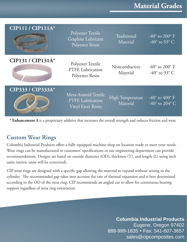| CIP111 / CIP111A* | Polyester Textile<br>Graphite Lubricant<br>Polyester Resin          | Traditional<br>Material      | -40 $^{\circ}$ to 200 $^{\circ}$ F<br>-40 $^{\circ}$ to 93 $^{\circ}$ C |
|-------------------|---------------------------------------------------------------------|------------------------------|-------------------------------------------------------------------------|
| CIP131 / CIP131A* | Polyester Textile<br>PTFE Lubrication<br>Polyester Resin            | Nonconductive<br>Material    | -40 $^{\circ}$ to 200 $^{\circ}$ F<br>-40 $\degree$ to 93 $\degree$ C   |
| CIP333 / CIP333A* | Meta-Aramid Textile<br>PTFE Lubrication<br><b>Vinyl Ester Resin</b> | High Temperature<br>Material | -40 $\degree$ to 400 $\degree$ F<br>-40 $\degree$ to 204 $\degree$ C    |

**\* Enhancement A** is a proprietary additive that increases the overall strength and reduces friction and wear.

#### **Custom Wear Rings**

Columbia Industrial Products offers a fully equipped machine shop on location ready to meet your needs. Wear rings can be manufactured to customers' specifications or our engineering department can provide recommendations. Designs are based on outside diameter (OD), thickness (T), and length (L) using inch units (metric units will be converted).

CIP wear rings are designed with a specific gap allowing the material to expand without seizing in the cylinder. The recommended gap takes into account the rate of thermal expansion and is best determined according to the OD of the wear ring. CIP recommends an angled cut to allow for continuous bearing support regardless of wear ring orientation.

> **Columbia Industrial Products** Eugene, Oregon 97402 888-999-1835 Fax: 541-607-3657 sales@cipcomposites.com